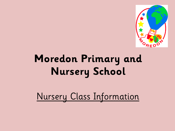

# **Moredon Primary and Nursery School**

Nursery Class Information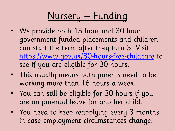# Nursery – Funding

- We provide both 15 hour and 30 hour government funded placements and children can start the term after they turn 3. Visit <https://www.gov.uk/30-hours-free-childcare> to see if you are eligible for 30 hours.
- This usually means both parents need to be working more than 16 hours a week.
- You can still be eligible for 30 hours if you are on parental leave for another child.
- You need to keep reapplying every 3 months in case employment circumstances change.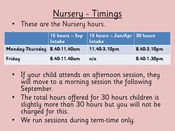

• These are the Nursery hours.

|                              |              | 15 hours – Sep 15 hours – Jan/Apr 30 hours<br>Intake Intake |             |
|------------------------------|--------------|-------------------------------------------------------------|-------------|
| Monday-Thursday 8.40-11.40am |              | 11.40-3.10pm                                                | 8.40-3.10pm |
| Friday                       | 8.40-11.40am | n/a                                                         | 8.40-1.30pm |

- If your child attends an afternoon session, they will move to a morning session the following September.
- The total hours offered for 30 hours children is slightly more than 30 hours but you will not be charged for this.
- We run sessions during term-time only.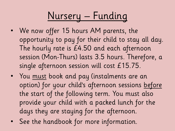# Nursery – Funding

- We now offer 15 hours AM parents, the opportunity to pay for their child to stay all day. The hourly rate is £4.50 and each afternoon session (Mon-Thurs) lasts 3.5 hours. Therefore, a single afternoon session will cost £15.75.
- You must book and pay (instalments are an option) for your child's afternoon sessions before the start of the following term. You must also provide your child with a packed lunch for the days they are staying for the afternoon.
- See the handbook for more information.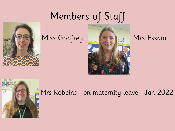## Members of Staff







### **Mrs Robbins - on maternity leave - Jan 2022**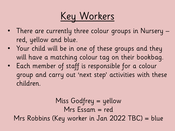Key Workers

- There are currently three colour groups in Nursery red, yellow and blue.
- Your child will be in one of these groups and they will have a matching colour tag on their bookbag.
- Each member of staff is responsible for a colour group and carry out 'next step' activities with these children.

Miss Godfrey = yellow Mrs Essam = red Mrs Robbins (Key worker in Jan 2022 TBC) = blue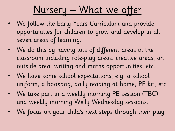# Nursery – What we offer

- We follow the Early Years Curriculum and provide opportunities for children to grow and develop in all seven areas of learning.
- We do this by having lots of different areas in the classroom including role-play areas, creative areas, an outside area, writing and maths opportunities, etc.
- We have some school expectations, e.g. a school uniform, a bookbag, daily reading at home, PE kit, etc.
- We take part in a weekly morning PE session (TBC) and weekly morning Welly Wednesday sessions.
- We focus on your child's next steps through their play.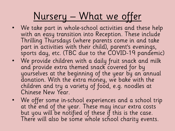## Nursery – What we offer

- We take part in whole-school activities and these help with an easy transition into Reception. These include Thrilling Thursdays (where parents come in and take part in activities with their child), parent's evenings, sports day, etc. (TBC due to the COVID-19 pandemic)
- We provide children with a daily fruit snack and milk and provide extra themed snack covered for by yourselves at the beginning of the year by an annual donation. With the extra money, we bake with the children and try a variety of food, e.g. noodles at Chinese New Year.
- We offer some in-school experiences and a school trip at the end of the year. These may incur extra costs but you will be notified of these if this is the case. There will also be some whole school charity events.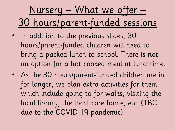# Nursery – What we offer – 30 hours/parent-funded sessions

- In addition to the previous slides, 30 hours/parent-funded children will need to bring a packed lunch to school. There is not an option for a hot cooked meal at lunchtime.
- As the 30 hours/parent-funded children are in for longer, we plan extra activities for them which include going to for walks, visiting the local library, the local care home, etc. (TBC due to the COVID-19 pandemic)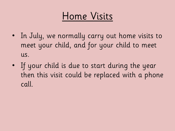## Home Visits

- In July, we normally carry out home visits to meet your child, and for your child to meet us.
- If your child is due to start during the year then this visit could be replaced with a phone call.